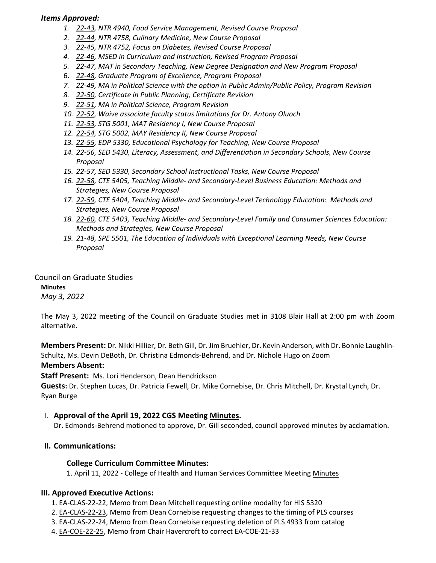#### *Items Approved:*

- *1. 22‐[43,](https://castle.eiu.edu/eiucgs/currentagendaitems/agenda22-43.pdf) NTR 4940, Food Service Management, Revised Course Proposal*
- *2. 22‐[44,](https://castle.eiu.edu/eiucgs/currentagendaitems/agenda22-44.pdf) NTR 4758, Culinary Medicine, New Course Proposal*
- *3. 22‐[45,](https://castle.eiu.edu/eiucgs/currentagendaitems/agenda22-45.pdf) NTR 4752, Focus on Diabetes, Revised Course Proposal*
- *4. 22‐[46,](https://castle.eiu.edu/eiucgs/currentagendaitems/agenda22-46.pdf) MSED in Curriculum and Instruction, Revised Program Proposal*
- *5. 22‐[47,](https://castle.eiu.edu/eiucgs/currentagendaitems/agenda22-47.pdf) MAT in Secondary Teaching, New Degree Designation and New Program Proposal*
- 6. *22‐[48,](https://castle.eiu.edu/eiucgs/currentagendaitems/agenda22-48.pdf) Graduate Program of Excellence, Program Proposal*
- *7. 22‐[49,](https://castle.eiu.edu/eiucgs/currentagendaitems/agenda22-49.pdf) MA in Political Science with the option in Public Admin/Public Policy, Program Revision*
- *8. 22‐[50,](https://castle.eiu.edu/eiucgs/currentagendaitems/agenda22-50.pdf) Certificate in Public Planning, Certificate Revision*
- *9. [22](https://castle.eiu.edu/eiucgs/currentagendaitems/agenda22-51.pdf)‐51, MA in Political Science, Program Revision*
- *10. 22‐[52,](https://castle.eiu.edu/eiucgs/currentagendaitems/agenda22-52.pdf) Waive associate faculty status limitations for Dr. Antony Oluoch*
- *11. 22‐[53,](https://castle.eiu.edu/eiucgs/currentagendaitems/agenda22-53.pdf) STG 5001, MAT Residency I, New Course Proposal*
- *12. 22‐[54,](https://castle.eiu.edu/eiucgs/currentagendaitems/agenda22-54.pdf) STG 5002, MAY Residency II, New Course Proposal*
- *13. 22‐[55,](https://castle.eiu.edu/eiucgs/currentagendaitems/agenda22-55.pdf) EDP 5330, Educational Psychology for Teaching, New Course Proposal*
- *14. 22‐[56,](https://castle.eiu.edu/eiucgs/currentagendaitems/agenda22-56.pdf) SED 5430, Literacy, Assessment, and Differentiation in Secondary Schools, New Course Proposal*
- *15. 22‐[57,](https://castle.eiu.edu/eiucgs/currentagendaitems/agenda22-57.pdf) SED 5330, Secondary School Instructional Tasks, New Course Proposal*
- *16. 22‐[58,](https://castle.eiu.edu/eiucgs/currentagendaitems/agenda22-58.pdf) CTE 5405, Teaching Middle‐ and Secondary‐Level Business Education: Methods and Strategies, New Course Proposal*
- *17. 22‐[59,](https://castle.eiu.edu/eiucgs/currentagendaitems/agenda22-59.pdf) CTE 5404, Teaching Middle‐ and Secondary‐Level Technology Education: Methods and Strategies, New Course Proposal*
- *18. 22‐[60,](https://castle.eiu.edu/eiucgs/currentagendaitems/agenda22-60.pdf) CTE 5403, Teaching Middle‐ and Secondary‐Level Family and Consumer Sciences Education: Methods and Strategies, New Course Proposal*
- *19. 21‐[48,](https://castle.eiu.edu/eiucgs/currentagendaitems/agenda21-48.pdf) SPE 5501, The Education of Individuals with Exceptional Learning Needs, New Course Proposal*

#### Council on Graduate Studies **Minutes** *May 3, 2022*

The May 3, 2022 meeting of the Council on Graduate Studies met in 3108 Blair Hall at 2:00 pm with Zoom alternative.

**Members Present:** Dr. Nikki Hillier, Dr. Beth Gill, Dr. Jim Bruehler, Dr. Kevin Anderson, with Dr. Bonnie Laughlin‐ Schultz, Ms. Devin DeBoth, Dr. Christina Edmonds‐Behrend, and Dr. Nichole Hugo on Zoom

## **Members Absent:**

**Staff Present:** Ms. Lori Henderson, Dean Hendrickson

**Guests:** Dr. Stephen Lucas, Dr. Patricia Fewell, Dr. Mike Cornebise, Dr. Chris Mitchell, Dr. Krystal Lynch, Dr. Ryan Burge

## I. **Approval of the April 19, 2022 CGS Meeting [Minutes.](https://castle.eiu.edu/eiucgs/currentminutes/Minutes4-19-22.pdf)**

Dr. Edmonds‐Behrend motioned to approve, Dr. Gill seconded, council approved minutes by acclamation.

## **II. Communications:**

## **College Curriculum Committee Minutes:**

1. April 11, 2022 ‐ College of Health and Human Services Committee Meeting [Minutes](https://pmaileiu-my.sharepoint.com/personal/jemmett_eiu_edu/_layouts/15/onedrive.aspx?ga=1&id=%2Fpersonal%2Fjemmett%5Feiu%5Fedu%2FDocuments%2FCHHS%20Curriculum%20Committee%20Folder%202019%2FCommittee%20Folders%2F2021%2D22%20Meeting%20Folder%2F05%2D03%2D22%2FMinutes%2F04%2D11%2D22%5FCHHSCC%5FMinutes%2Epdf&parent=%2Fpersonal%2Fjemmett%5Feiu%5Fedu%2FDocuments%2FCHHS%20Curriculum%20Committee%20Folder%202019%2FCommittee%20Folders%2F2021%2D22%20Meeting%20Folder%2F05%2D03%2D22%2FMinutes)

## **III. Approved Executive Actions:**

- 1. EA‐[CLAS](https://castle.eiu.edu/eiucgs/exec-actions/EA-CLAS-22-22.pdf)‐22‐22, Memo from Dean Mitchell requesting online modality for HIS 5320
- 2. EA‐[CLAS](https://castle.eiu.edu/eiucgs/exec-actions/EA-CLAS-22-23.pdf)‐22‐23, Memo from Dean Cornebise requesting changes to the timing of PLS courses
- 3. EA‐[CLAS](https://castle.eiu.edu/eiucgs/exec-actions/EA-CLAS-22-24.pdf)‐22‐24, Memo from Dean Cornebise requesting deletion of PLS 4933 from catalog
- 4. EA‐[COE](https://castle.eiu.edu/eiucgs/exec-actions/EA-COE-22-25.pdf)‐22‐25, Memo from Chair Havercroft to correct EA‐COE‐21‐33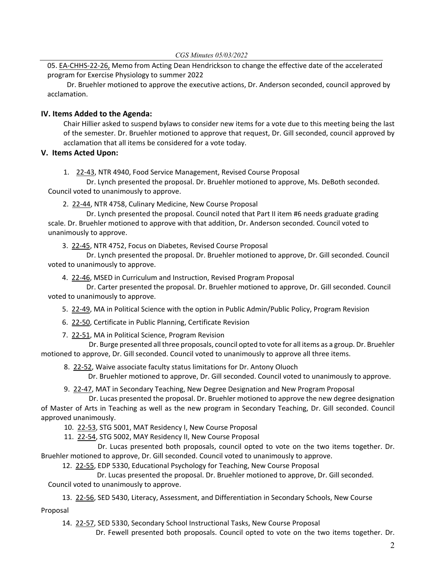05. EA‐[CHHS](https://castle.eiu.edu/eiucgs/exec-actions/EA-CHHS-22-26.pdf)‐22‐26, Memo from Acting Dean Hendrickson to change the effective date of the accelerated program for Exercise Physiology to summer 2022

Dr. Bruehler motioned to approve the executive actions, Dr. Anderson seconded, council approved by acclamation.

# **IV. Items Added to the Agenda:**

Chair Hillier asked to suspend bylaws to consider new items for a vote due to this meeting being the last of the semester. Dr. Bruehler motioned to approve that request, Dr. Gill seconded, council approved by acclamation that all items be considered for a vote today.

## **V. Items Acted Upon:**

1. 22‐[43,](https://castle.eiu.edu/eiucgs/currentagendaitems/agenda22-43.pdf) NTR 4940, Food Service Management, Revised Course Proposal

 Dr. Lynch presented the proposal. Dr. Bruehler motioned to approve, Ms. DeBoth seconded. Council voted to unanimously to approve.

2. 22‐[44,](https://castle.eiu.edu/eiucgs/currentagendaitems/agenda22-44.pdf) NTR 4758, Culinary Medicine, New Course Proposal

Dr. Lynch presented the proposal. Council noted that Part II item #6 needs graduate grading scale. Dr. Bruehler motioned to approve with that addition, Dr. Anderson seconded. Council voted to unanimously to approve.

3. 22‐[45,](https://castle.eiu.edu/eiucgs/currentagendaitems/agenda22-45.pdf) NTR 4752, Focus on Diabetes, Revised Course Proposal

Dr. Lynch presented the proposal. Dr. Bruehler motioned to approve, Dr. Gill seconded. Council voted to unanimously to approve.

4. 22‐[46,](https://castle.eiu.edu/eiucgs/currentagendaitems/agenda22-46.pdf) MSED in Curriculum and Instruction, Revised Program Proposal

Dr. Carter presented the proposal. Dr. Bruehler motioned to approve, Dr. Gill seconded. Council voted to unanimously to approve.

5. 22‐[49,](https://castle.eiu.edu/eiucgs/currentagendaitems/agenda22-49.pdf) MA in Political Science with the option in Public Admin/Public Policy, Program Revision

6. 22‐[50,](https://castle.eiu.edu/eiucgs/currentagendaitems/agenda22-50.pdf) Certificate in Public Planning, Certificate Revision

7. 22‐[51,](https://castle.eiu.edu/eiucgs/currentagendaitems/agenda22-51.pdf) MA in Political Science, Program Revision

 Dr. Burge presented all three proposals, council opted to vote for all items as a group. Dr. Bruehler motioned to approve, Dr. Gill seconded. Council voted to unanimously to approve all three items.

8. 22-[52,](https://castle.eiu.edu/eiucgs/currentagendaitems/agenda22-52.pdf) Waive associate faculty status limitations for Dr. Antony Oluoch

Dr. Bruehler motioned to approve, Dr. Gill seconded. Council voted to unanimously to approve.

9. [22](https://castle.eiu.edu/eiucgs/currentagendaitems/agenda22-47.pdf)-47, MAT in Secondary Teaching, New Degree Designation and New Program Proposal

 Dr. Lucas presented the proposal. Dr. Bruehler motioned to approve the new degree designation of Master of Arts in Teaching as well as the new program in Secondary Teaching, Dr. Gill seconded. Council approved unanimously.

10. 22‐[53,](https://castle.eiu.edu/eiucgs/currentagendaitems/agenda22-53.pdf) STG 5001, MAT Residency I, New Course Proposal

11. 22‐[54,](https://castle.eiu.edu/eiucgs/currentagendaitems/agenda22-54.pdf) STG 5002, MAY Residency II, New Course Proposal

 Dr. Lucas presented both proposals, council opted to vote on the two items together. Dr. Bruehler motioned to approve, Dr. Gill seconded. Council voted to unanimously to approve.

12. 22-[55,](https://castle.eiu.edu/eiucgs/currentagendaitems/agenda22-55.pdf) EDP 5330, Educational Psychology for Teaching, New Course Proposal

Dr. Lucas presented the proposal. Dr. Bruehler motioned to approve, Dr. Gill seconded. Council voted to unanimously to approve.

13. 22-[56,](https://castle.eiu.edu/eiucgs/currentagendaitems/agenda22-56.pdf) SED 5430, Literacy, Assessment, and Differentiation in Secondary Schools, New Course

Proposal

14. 22‐[57,](https://castle.eiu.edu/eiucgs/currentagendaitems/agenda22-57.pdf) SED 5330, Secondary School Instructional Tasks, New Course Proposal

Dr. Fewell presented both proposals. Council opted to vote on the two items together. Dr.